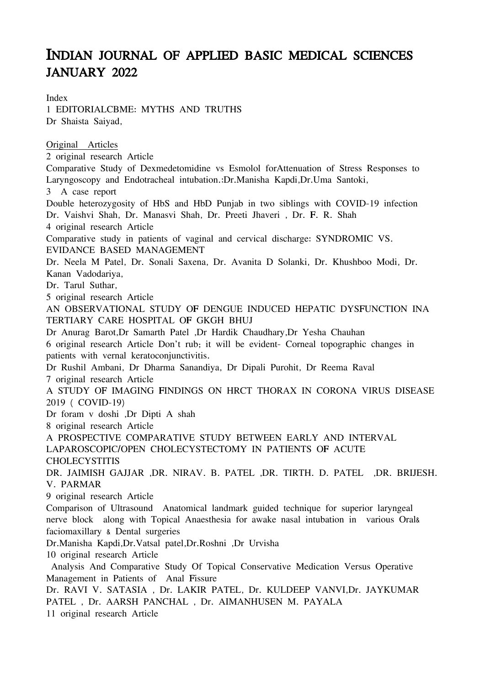## INDIAN JOURNAL OF APPLIED BASIC MEDICAL SCIENCES JANUARY 2022

Index 1 EDITORIALCBME: MYTHS AND TRUTHS Dr Shaista Saiyad, Original Articles 2 original research Article Comparative Study of Dexmedetomidine vs Esmolol forAttenuation of Stress Responses to Laryngoscopy and Endotracheal intubation.:Dr.Manisha Kapdi,Dr.Uma Santoki, 3 A case report Double heterozygosity of HbS and HbD Punjab in two siblings with COVID-19 infection Dr. Vaishvi Shah, Dr. Manasvi Shah, Dr. Preeti Jhaveri , Dr. F. R. Shah 4 original research Article Comparative study in patients of vaginal and cervical discharge: SYNDROMIC VS. EVIDANCE BASED MANAGEMENT Dr. Neela M Patel, Dr. Sonali Saxena, Dr. Avanita D Solanki, Dr. Khushboo Modi, Dr. Kanan Vadodariya, Dr. Tarul Suthar, 5 original research Article AN OBSERVATIONAL STUDY OF DENGUE INDUCED HEPATIC DYSFUNCTION INA TERTIARY CARE HOSPITAL OF GKGH BHUJ Dr Anurag Barot,Dr Samarth Patel ,Dr Hardik Chaudhary,Dr Yesha Chauhan 6 original research Article Don't rub; it will be evident- Corneal topographic changes in patients with vernal keratoconjunctivitis. Dr Rushil Ambani, Dr Dharma Sanandiya, Dr Dipali Purohit, Dr Reema Raval 7 original research Article A STUDY OF IMAGING FINDINGS ON HRCT THORAX IN CORONA VIRUS DISEASE 2019 ( COVID-19) Dr foram v doshi ,Dr Dipti A shah 8 original research Article A PROSPECTIVE COMPARATIVE STUDY BETWEEN EARLY AND INTERVAL LAPAROSCOPIC/OPEN CHOLECYSTECTOMY IN PATIENTS OF ACUTE **CHOLECYSTITIS** DR. JAIMISH GAJJAR ,DR. NIRAV. B. PATEL ,DR. TIRTH. D. PATEL ,DR. BRIJESH. V. PARMAR 9 original research Article Comparison of Ultrasound Anatomical landmark guided technique for superior laryngeal nerve block along with Topical Anaesthesia for awake nasal intubation in various Oral& faciomaxillary & Dental surgeries Dr.Manisha Kapdi,Dr.Vatsal patel,Dr.Roshni ,Dr Urvisha 10 original research Article Analysis And Comparative Study Of Topical Conservative Medication Versus Operative

Management in Patients of Anal Fissure Dr. RAVI V. SATASIA , Dr. LAKIR PATEL, Dr. KULDEEP VANVI,Dr. JAYKUMAR PATEL , Dr. AARSH PANCHAL , Dr. AIMANHUSEN M. PAYALA 11 original research Article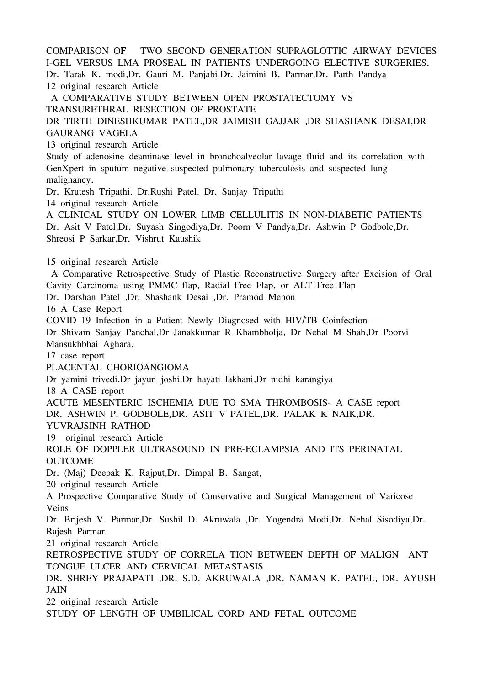COMPARISON OF TWO SECOND GENERATION SUPRAGLOTTIC AIRWAY DEVICES I-GEL VERSUS LMA PROSEAL IN PATIENTS UNDERGOING ELECTIVE SURGERIES. Dr. Tarak K. modi,Dr. Gauri M. Panjabi,Dr. Jaimini B. Parmar,Dr. Parth Pandya 12 original research Article A COMPARATIVE STUDY BETWEEN OPEN PROSTATECTOMY VS TRANSURETHRAL RESECTION OF PROSTATE DR TIRTH DINESHKUMAR PATEL,DR JAIMISH GAJJAR ,DR SHASHANK DESAI,DR GAURANG VAGELA 13 original research Article Study of adenosine deaminase level in bronchoalveolar lavage fluid and its correlation with GenXpert in sputum negative suspected pulmonary tuberculosis and suspected lung malignancy. Dr. Krutesh Tripathi, Dr.Rushi Patel, Dr. Sanjay Tripathi 14 original research Article A CLINICAL STUDY ON LOWER LIMB CELLULITIS IN NON-DIABETIC PATIENTS Dr. Asit V Patel,Dr. Suyash Singodiya,Dr. Poorn V Pandya,Dr. Ashwin P Godbole,Dr. Shreosi P Sarkar,Dr. Vishrut Kaushik 15 original research Article A Comparative Retrospective Study of Plastic Reconstructive Surgery after Excision of Oral Cavity Carcinoma using PMMC flap, Radial Free Flap, or ALT Free Flap Dr. Darshan Patel ,Dr. Shashank Desai ,Dr. Pramod Menon 16 A Case Report COVID 19 Infection in a Patient Newly Diagnosed with HIV/TB Coinfection – Dr Shivam Sanjay Panchal,Dr Janakkumar R Khambholja, Dr Nehal M Shah,Dr Poorvi Mansukhbhai Aghara, 17 case report PLACENTAL CHORIOANGIOMA Dr yamini trivedi,Dr jayun joshi,Dr hayati lakhani,Dr nidhi karangiya 18 A CASE report ACUTE MESENTERIC ISCHEMIA DUE TO SMA THROMBOSIS- A CASE report DR. ASHWIN P. GODBOLE,DR. ASIT V PATEL,DR. PALAK K NAIK,DR. YUVRAJSINH RATHOD 19 original research Article ROLE OF DOPPLER ULTRASOUND IN PRE-ECLAMPSIA AND ITS PERINATAL **OUTCOME** Dr. (Maj) Deepak K. Rajput,Dr. Dimpal B. Sangat, 20 original research Article A Prospective Comparative Study of Conservative and Surgical Management of Varicose Veins Dr. Brijesh V. Parmar,Dr. Sushil D. Akruwala ,Dr. Yogendra Modi,Dr. Nehal Sisodiya,Dr. Rajesh Parmar 21 original research Article RETROSPECTIVE STUDY OF CORRELA TION BETWEEN DEPTH OF MALIGN ANT TONGUE ULCER AND CERVICAL METASTASIS DR. SHREY PRAJAPATI ,DR. S.D. AKRUWALA ,DR. NAMAN K. PATEL, DR. AYUSH JAIN 22 original research Article STUDY OF LENGTH OF UMBILICAL CORD AND FETAL OUTCOME